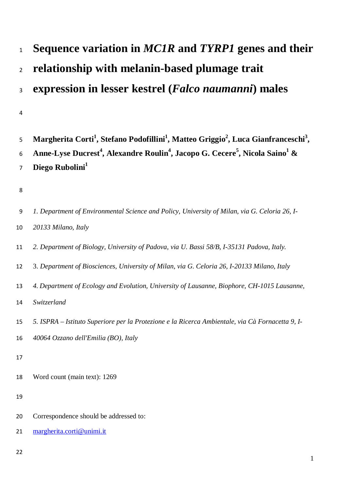# **Sequence variation in** *MC1R* **and** *TYRP1* **genes and their relationship with melanin-based plumage trait expression in lesser kestrel (***Falco naumanni***) males**

## 

| 5 Margherita Corti <sup>1</sup> , Stefano Podofillini <sup>1</sup> , Matteo Griggio <sup>2</sup> , Luca Gianfranceschi <sup>3</sup> , |
|---------------------------------------------------------------------------------------------------------------------------------------|
| 6 Anne-Lyse Ducrest <sup>4</sup> , Alexandre Roulin <sup>4</sup> , Jacopo G. Cecere <sup>5</sup> , Nicola Saino <sup>1</sup> &        |
| 7 Diego Rubolini <sup>1</sup>                                                                                                         |

# 

| 9  | 1. Department of Environmental Science and Policy, University of Milan, via G. Celoria 26, I- |
|----|-----------------------------------------------------------------------------------------------|
| 10 | 20133 Milano, Italy                                                                           |
| 11 | 2. Department of Biology, University of Padova, via U. Bassi 58/B, I-35131 Padova, Italy.     |
| 12 | 3. Department of Biosciences, University of Milan, via G. Celoria 26, I-20133 Milano, Italy   |
| 13 | 4. Department of Ecology and Evolution, University of Lausanne, Biophore, CH-1015 Lausanne,   |

*Switzerland*

|  |  |  |  |  |  |  |  |  |  | 15 5. ISPRA – Istituto Superiore per la Protezione e la Ricerca Ambientale, via Cà Fornacetta 9, I- |  |  |
|--|--|--|--|--|--|--|--|--|--|-----------------------------------------------------------------------------------------------------|--|--|
|--|--|--|--|--|--|--|--|--|--|-----------------------------------------------------------------------------------------------------|--|--|

- *40064 Ozzano dell'Emilia (BO), Italy*
- 
- Word count (main text): 1269

- Correspondence should be addressed to:
- [margherita.corti@unimi.it](mailto:margherita.corti@unimi.it)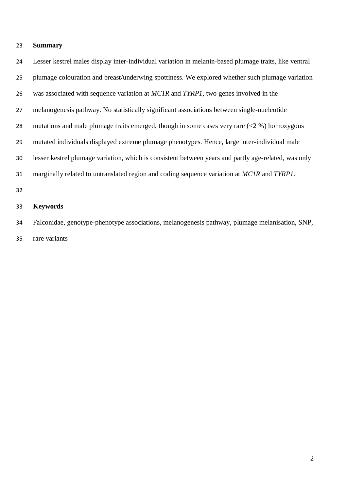## **Summary**

 Lesser kestrel males display inter-individual variation in melanin-based plumage traits, like ventral plumage colouration and breast/underwing spottiness. We explored whether such plumage variation was associated with sequence variation at *MC1R* and *TYRP1*, two genes involved in the melanogenesis pathway. No statistically significant associations between single-nucleotide 28 mutations and male plumage traits emerged, though in some cases very rare  $(< 2 %)$  homozygous mutated individuals displayed extreme plumage phenotypes. Hence, large inter-individual male lesser kestrel plumage variation, which is consistent between years and partly age-related, was only marginally related to untranslated region and coding sequence variation at *MC1R* and *TYRP1*. 

#### **Keywords**

 Falconidae, genotype-phenotype associations, melanogenesis pathway, plumage melanisation, SNP, rare variants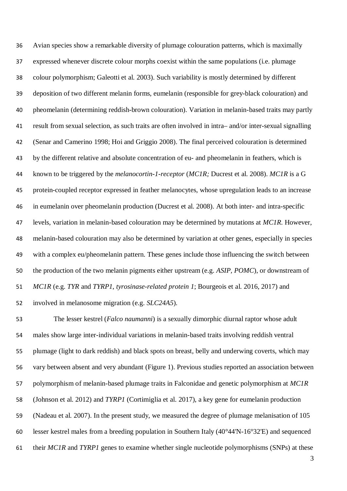Avian species show a remarkable diversity of plumage colouration patterns, which is maximally expressed whenever discrete colour morphs coexist within the same populations (i.e. plumage colour polymorphism; Galeotti et al. 2003). Such variability is mostly determined by different deposition of two different melanin forms, eumelanin (responsible for grey-black colouration) and pheomelanin (determining reddish-brown colouration). Variation in melanin-based traits may partly result from sexual selection, as such traits are often involved in intra– and/or inter-sexual signalling (Senar and Camerino 1998; Hoi and Griggio 2008). The final perceived colouration is determined by the different relative and absolute concentration of eu- and pheomelanin in feathers, which is known to be triggered by the *melanocortin-1-receptor* (*MC1R;* Ducrest et al. 2008). *MC1R* is a G protein-coupled receptor expressed in feather melanocytes, whose upregulation leads to an increase in eumelanin over pheomelanin production (Ducrest et al. 2008). At both inter- and intra-specific levels, variation in melanin-based colouration may be determined by mutations at *MC1R*. However, melanin-based colouration may also be determined by variation at other genes, especially in species with a complex eu/pheomelanin pattern. These genes include those influencing the switch between the production of the two melanin pigments either upstream (e.g. *ASIP, POMC*), or downstream of *MC1R* (e.g. *TYR* and *TYRP1*, *tyrosinase-related protein 1*; Bourgeois et al. 2016, 2017) and involved in melanosome migration (e.g. *SLC24A5*).

 The lesser kestrel (*Falco naumanni*) is a sexually dimorphic diurnal raptor whose adult males show large inter-individual variations in melanin-based traits involving reddish ventral plumage (light to dark reddish) and black spots on breast, belly and underwing coverts, which may vary between absent and very abundant (Figure 1). Previous studies reported an association between polymorphism of melanin-based plumage traits in Falconidae and genetic polymorphism at *MC1R* (Johnson et al. 2012) and *TYRP1* (Cortimiglia et al. 2017), a key gene for eumelanin production (Nadeau et al. 2007). In the present study, we measured the degree of plumage melanisation of 105 lesser kestrel males from a breeding population in Southern Italy (40°44'N-16°32'E) and sequenced their *MC1R* and *TYRP1* genes to examine whether single nucleotide polymorphisms (SNPs) at these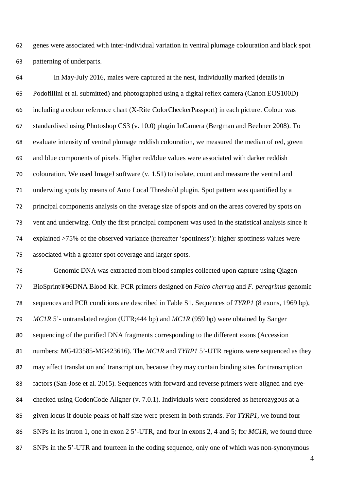genes were associated with inter-individual variation in ventral plumage colouration and black spot patterning of underparts.

 In May-July 2016, males were captured at the nest, individually marked (details in Podofillini et al. submitted) and photographed using a digital reflex camera (Canon EOS100D) including a colour reference chart (X-Rite ColorCheckerPassport) in each picture. Colour was standardised using Photoshop CS3 (v. 10.0) plugin InCamera (Bergman and Beehner 2008). To evaluate intensity of ventral plumage reddish colouration, we measured the median of red, green and blue components of pixels. Higher red/blue values were associated with darker reddish colouration. We used ImageJ software (v. 1.51) to isolate, count and measure the ventral and underwing spots by means of Auto Local Threshold plugin. Spot pattern was quantified by a principal components analysis on the average size of spots and on the areas covered by spots on vent and underwing. Only the first principal component was used in the statistical analysis since it explained >75% of the observed variance (hereafter 'spottiness'): higher spottiness values were associated with a greater spot coverage and larger spots.

 Genomic DNA was extracted from blood samples collected upon capture using Qiagen BioSprint®96DNA Blood Kit. PCR primers designed on *Falco cherrug* and *F. peregrinus* genomic sequences and PCR conditions are described in Table S1. Sequences of *TYRP1* (8 exons, 1969 bp), *MC1R* 5'- untranslated region (UTR;444 bp) and *MC1R* (959 bp) were obtained by Sanger sequencing of the purified DNA fragments corresponding to the different exons (Accession numbers: MG423585-MG423616). The *MC1R* and *TYRP1* 5'-UTR regions were sequenced as they may affect translation and transcription, because they may contain binding sites for transcription factors (San-Jose et al. 2015)*.* Sequences with forward and reverse primers were aligned and eye- checked using CodonCode Aligner (v. 7.0.1). Individuals were considered as heterozygous at a given locus if double peaks of half size were present in both strands. For *TYRP1*, we found four SNPs in its intron 1, one in exon 2 5'-UTR, and four in exons 2, 4 and 5; for *MC1R*, we found three SNPs in the 5'-UTR and fourteen in the coding sequence, only one of which was non-synonymous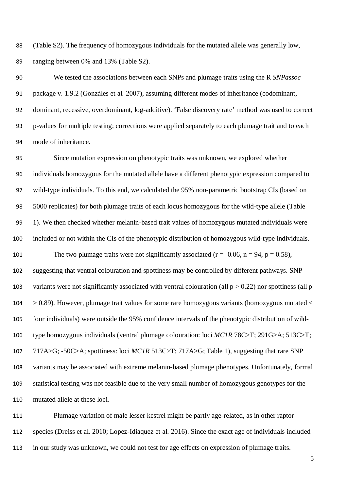(Table S2). The frequency of homozygous individuals for the mutated allele was generally low, ranging between 0% and 13% (Table S2).

 We tested the associations between each SNPs and plumage traits using the R *SNPassoc* package v. 1.9.2 (Gonzáles et al*.* 2007), assuming different modes of inheritance (codominant, dominant, recessive, overdominant, log-additive). 'False discovery rate' method was used to correct p-values for multiple testing; corrections were applied separately to each plumage trait and to each mode of inheritance.

 Since mutation expression on phenotypic traits was unknown, we explored whether individuals homozygous for the mutated allele have a different phenotypic expression compared to wild-type individuals. To this end, we calculated the 95% non-parametric bootstrap CIs (based on 5000 replicates) for both plumage traits of each locus homozygous for the wild-type allele (Table 1). We then checked whether melanin-based trait values of homozygous mutated individuals were included or not within the CIs of the phenotypic distribution of homozygous wild-type individuals. 101 The two plumage traits were not significantly associated ( $r = -0.06$ ,  $n = 94$ ,  $p = 0.58$ ), suggesting that ventral colouration and spottiness may be controlled by different pathways. SNP 103 variants were not significantly associated with ventral colouration (all  $p > 0.22$ ) nor spottiness (all p  $104 > 0.89$ ). However, plumage trait values for some rare homozygous variants (homozygous mutated  $\langle$  four individuals) were outside the 95% confidence intervals of the phenotypic distribution of wild- type homozygous individuals (ventral plumage colouration: loci *MC1R* 78C>T; 291G>A; 513C>T; 717A>G; -50C>A; spottiness: loci *MC1R* 513C>T; 717A>G; Table 1), suggesting that rare SNP variants may be associated with extreme melanin-based plumage phenotypes. Unfortunately, formal statistical testing was not feasible due to the very small number of homozygous genotypes for the mutated allele at these loci.

 Plumage variation of male lesser kestrel might be partly age-related, as in other raptor species (Dreiss et al. 2010; Lopez-Idiaquez et al. 2016). Since the exact age of individuals included in our study was unknown, we could not test for age effects on expression of plumage traits.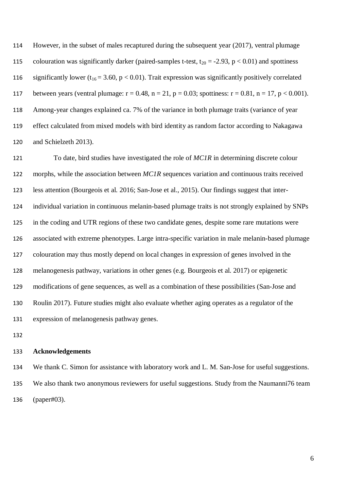However, in the subset of males recaptured during the subsequent year (2017), ventral plumage 115 colouration was significantly darker (paired-samples t-test,  $t_{20} = -2.93$ ,  $p < 0.01$ ) and spottiness 116 significantly lower ( $t_{16} = 3.60$ , p < 0.01). Trait expression was significantly positively correlated 117 between years (ventral plumage:  $r = 0.48$ ,  $n = 21$ ,  $p = 0.03$ ; spottiness:  $r = 0.81$ ,  $n = 17$ ,  $p < 0.001$ ). Among-year changes explained ca. 7% of the variance in both plumage traits (variance of year effect calculated from mixed models with bird identity as random factor according to Nakagawa and Schielzeth 2013).

 To date, bird studies have investigated the role of *MC1R* in determining discrete colour morphs, while the association between *MC1R* sequences variation and continuous traits received less attention (Bourgeois et al. 2016; San-Jose et al., 2015). Our findings suggest that inter- individual variation in continuous melanin-based plumage traits is not strongly explained by SNPs in the coding and UTR regions of these two candidate genes, despite some rare mutations were associated with extreme phenotypes. Large intra-specific variation in male melanin-based plumage colouration may thus mostly depend on local changes in expression of genes involved in the melanogenesis pathway, variations in other genes (e.g. Bourgeois et al. 2017) or epigenetic modifications of gene sequences, as well as a combination of these possibilities (San-Jose and Roulin 2017). Future studies might also evaluate whether aging operates as a regulator of the expression of melanogenesis pathway genes.

#### **Acknowledgements**

 We thank C. Simon for assistance with laboratory work and L. M. San-Jose for useful suggestions. We also thank two anonymous reviewers for useful suggestions. Study from the Naumanni76 team (paper#03).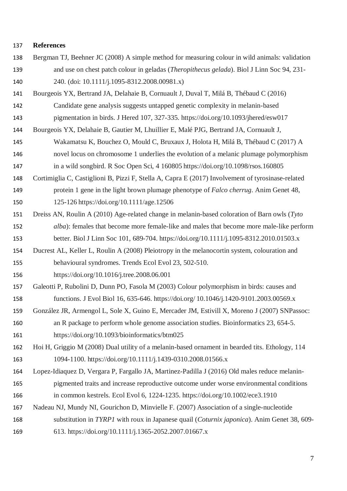#### **References**

- Bergman TJ, Beehner JC (2008) A simple method for measuring colour in wild animals: validation and use on chest patch colour in geladas (*Theropithecus gelada*). Biol J Linn Soc 94, 231- 240. (doi: 10.1111/j.1095-8312.2008.00981.x)
- Bourgeois YX, Bertrand JA, Delahaie B, Cornuault J, Duval T, Milá B, Thébaud C (2016) Candidate gene analysis suggests untapped genetic complexity in melanin-based pigmentation in birds. J Hered 107, 327-335. https://doi.org/10.1093/jhered/esw017
- Bourgeois YX, Delahaie B, Gautier M, Lhuillier E, Malé PJG, Bertrand JA, Cornuault J,
- Wakamatsu K, Bouchez O, Mould C, Bruxaux J, Holota H, Milá B, Thébaud C (2017) A novel locus on chromosome 1 underlies the evolution of a melanic plumage polymorphism in a wild songbird. R Soc Open Sci, 4 160805 https://doi.org/10.1098/rsos.160805
- Cortimiglia C, Castiglioni B, Pizzi F, Stella A, Capra E (2017) Involvement of tyrosinase-related protein 1 gene in the light brown plumage phenotype of *Falco cherrug*. Anim Genet 48, 125-126 https://doi.org/10.1111/age.12506
- Dreiss AN, Roulin A (2010) Age-related change in melanin-based coloration of Barn owls (*Tyto alba*): females that become more female-like and males that become more male-like perform better. Biol J Linn Soc 101, 689-704. https://doi.org/10.1111/j.1095-8312.2010.01503.x
- Ducrest AL, Keller L, Roulin A (2008) Pleiotropy in the melanocortin system, colouration and behavioural syndromes. Trends Ecol Evol 23, 502-510.
- https://doi.org/10.1016/j.tree.2008.06.001
- Galeotti P, Rubolini D, Dunn PO, Fasola M (2003) Colour polymorphism in birds: causes and functions. J Evol Biol 16, 635-646. https://doi.org/ 10.1046/j.1420-9101.2003.00569.x
- González JR, Armengol L, Sole X, Guino E, Mercader JM, Estivill X, Moreno J (2007) SNPassoc: an R package to perform whole genome association studies. Bioinformatics 23, 654-5. https://doi.org/10.1093/bioinformatics/btm025
- Hoi H, Griggio M (2008) Dual utility of a melanin-based ornament in bearded tits. Ethology, 114 1094-1100. https://doi.org/10.1111/j.1439-0310.2008.01566.x
- Lopez-Idiaquez D, Vergara P, Fargallo JA, Martinez-Padilla J (2016) Old males reduce melanin- pigmented traits and increase reproductive outcome under worse environmental conditions in common kestrels. Ecol Evol 6, 1224-1235. https://doi.org/10.1002/ece3.1910
- Nadeau NJ, Mundy NI, Gourichon D, Minvielle F. (2007) Association of a single-nucleotide substitution in *TYRP1* with roux in Japanese quail (*Coturnix japonica*). Anim Genet 38, 609-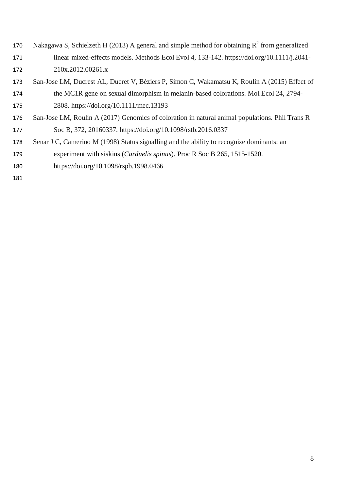- 170 Nakagawa S, Schielzeth H (2013) A general and simple method for obtaining  $R^2$  from generalized linear mixed-effects models. Methods Ecol Evol 4, 133-142. https://doi.org/10.1111/j.2041- 210x.2012.00261.x
- San-Jose LM, Ducrest AL, Ducret V, Béziers P, Simon C, Wakamatsu K, Roulin A (2015) Effect of the MC1R gene on sexual dimorphism in melanin-based colorations. Mol Ecol 24, 2794- 2808. https://doi.org/10.1111/mec.13193
- San-Jose LM, Roulin A (2017) Genomics of coloration in natural animal populations. Phil Trans R Soc B, 372, 20160337. https://doi.org/10.1098/rstb.2016.0337
- 178 Senar J C, Camerino M (1998) Status signalling and the ability to recognize dominants: an
- experiment with siskins (*Carduelis spinus*). Proc R Soc B 265, 1515-1520.
- https://doi.org/10.1098/rspb.1998.0466